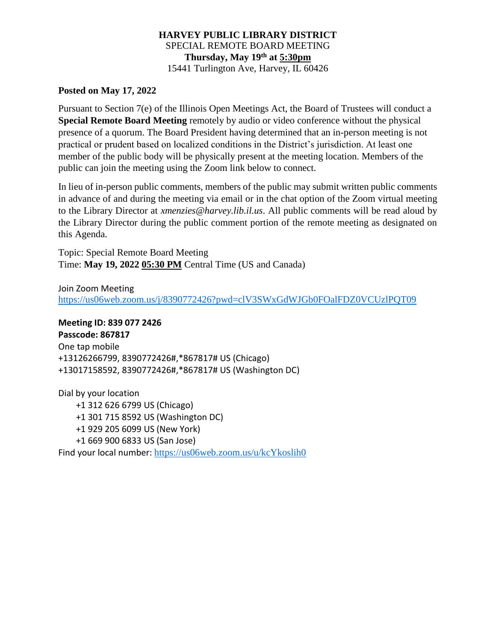# **HARVEY PUBLIC LIBRARY DISTRICT** SPECIAL REMOTE BOARD MEETING **Thursday, May 19th at 5:30pm** 15441 Turlington Ave, Harvey, IL 60426

#### **Posted on May 17, 2022**

Pursuant to Section 7(e) of the Illinois Open Meetings Act, the Board of Trustees will conduct a **Special Remote Board Meeting** remotely by audio or video conference without the physical presence of a quorum. The Board President having determined that an in-person meeting is not practical or prudent based on localized conditions in the District's jurisdiction. At least one member of the public body will be physically present at the meeting location. Members of the public can join the meeting using the Zoom link below to connect.

In lieu of in-person public comments, members of the public may submit written public comments in advance of and during the meeting via email or in the chat option of the Zoom virtual meeting to the Library Director at *xmenzies@harvey.lib.il.us*. All public comments will be read aloud by the Library Director during the public comment portion of the remote meeting as designated on this Agenda.

Topic: Special Remote Board Meeting Time: **May 19, 2022 05:30 PM** Central Time (US and Canada)

Join Zoom Meeting <https://us06web.zoom.us/j/8390772426?pwd=clV3SWxGdWJGb0FOalFDZ0VCUzlPQT09>

# **Meeting ID: 839 077 2426**

**Passcode: 867817** One tap mobile +13126266799, 8390772426#,\*867817# US (Chicago) +13017158592, 8390772426#,\*867817# US (Washington DC)

Dial by your location +1 312 626 6799 US (Chicago) +1 301 715 8592 US (Washington DC) +1 929 205 6099 US (New York) +1 669 900 6833 US (San Jose) Find your local number: <https://us06web.zoom.us/u/kcYkoslih0>